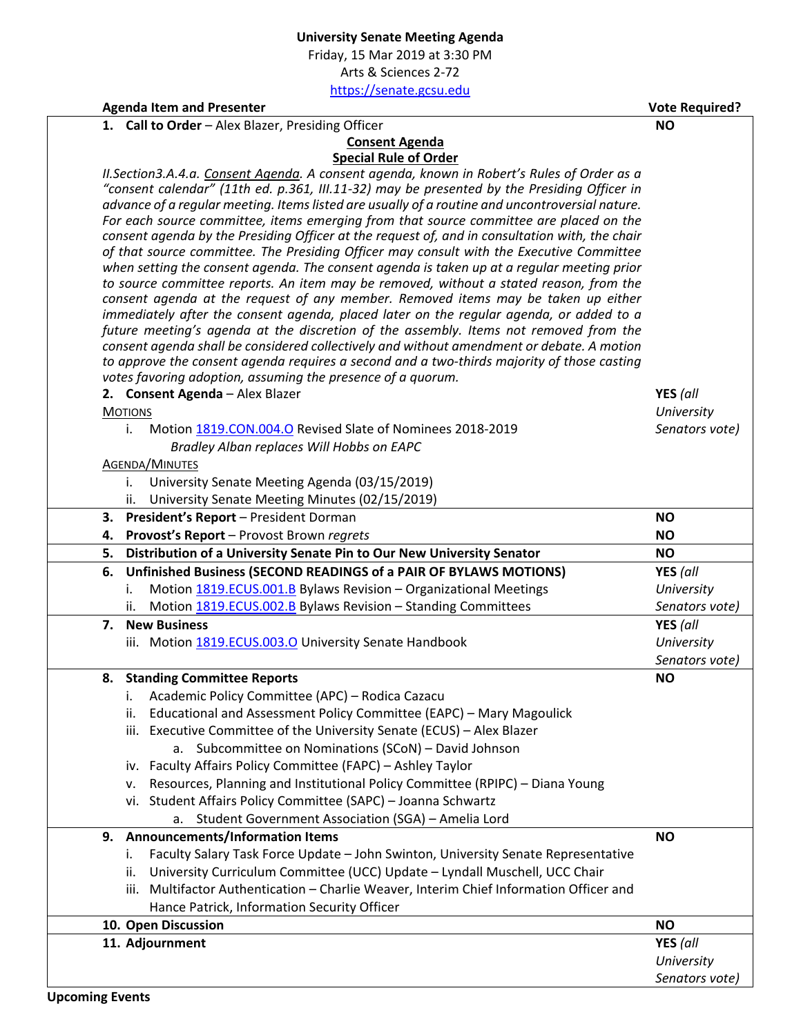Friday, 15 Mar 2019 at 3:30 PM Arts & Sciences 2-72

[https://senate.gcsu.edu](https://senate.gcsu.edu/)

**NO**

**Agenda Item and Presenter Vote Required?**

1. **Call to Order** - Alex Blazer, Presiding Officer

## **Consent Agenda Special Rule of Order**

*II.Section3.A.4.a. Consent Agenda. A consent agenda, known in Robert's Rules of Order as a "consent calendar" (11th ed. p.361, III.11-32) may be presented by the Presiding Officer in advance of a regular meeting. Items listed are usually of a routine and uncontroversial nature. For each source committee, items emerging from that source committee are placed on the consent agenda by the Presiding Officer at the request of, and in consultation with, the chair of that source committee. The Presiding Officer may consult with the Executive Committee when setting the consent agenda. The consent agenda is taken up at a regular meeting prior to source committee reports. An item may be removed, without a stated reason, from the consent agenda at the request of any member. Removed items may be taken up either immediately after the consent agenda, placed later on the regular agenda, or added to a future meeting's agenda at the discretion of the assembly. Items not removed from the consent agenda shall be considered collectively and without amendment or debate. A motion to approve the consent agenda requires a second and a two-thirds majority of those casting votes favoring adoption, assuming the presence of a quorum.*

|    | 2. Consent Agenda - Alex Blazer                                                         | YES (all       |
|----|-----------------------------------------------------------------------------------------|----------------|
|    | <b>MOTIONS</b>                                                                          | University     |
|    | Motion 1819.CON.004.O Revised Slate of Nominees 2018-2019<br>i.                         | Senators vote) |
|    | Bradley Alban replaces Will Hobbs on EAPC                                               |                |
|    | <b>AGENDA/MINUTES</b>                                                                   |                |
|    | University Senate Meeting Agenda (03/15/2019)<br>i.                                     |                |
|    | University Senate Meeting Minutes (02/15/2019)<br>ii.                                   |                |
| 3. | President's Report - President Dorman                                                   | <b>NO</b>      |
| 4. | Provost's Report - Provost Brown regrets                                                | <b>NO</b>      |
| 5. | Distribution of a University Senate Pin to Our New University Senator                   | <b>NO</b>      |
| 6. | Unfinished Business (SECOND READINGS of a PAIR OF BYLAWS MOTIONS)                       | YES (all       |
|    | Motion 1819.ECUS.001.B Bylaws Revision - Organizational Meetings<br>i.                  | University     |
|    | Motion 1819.ECUS.002.B Bylaws Revision - Standing Committees<br>ii.                     | Senators vote) |
| 7. | <b>New Business</b>                                                                     | YES (all       |
|    | iii. Motion 1819.ECUS.003.O University Senate Handbook                                  | University     |
|    |                                                                                         | Senators vote) |
| 8. | <b>Standing Committee Reports</b>                                                       | <b>NO</b>      |
|    | Academic Policy Committee (APC) - Rodica Cazacu<br>i.                                   |                |
|    | Educational and Assessment Policy Committee (EAPC) - Mary Magoulick<br>ii.              |                |
|    | iii. Executive Committee of the University Senate (ECUS) - Alex Blazer                  |                |
|    | a. Subcommittee on Nominations (SCoN) - David Johnson                                   |                |
|    | iv. Faculty Affairs Policy Committee (FAPC) - Ashley Taylor                             |                |
|    | Resources, Planning and Institutional Policy Committee (RPIPC) - Diana Young<br>v.      |                |
|    | vi. Student Affairs Policy Committee (SAPC) - Joanna Schwartz                           |                |
|    | Student Government Association (SGA) - Amelia Lord<br>a.                                |                |
| 9. | <b>Announcements/Information Items</b>                                                  | <b>NO</b>      |
|    | Faculty Salary Task Force Update - John Swinton, University Senate Representative<br>i. |                |
|    | University Curriculum Committee (UCC) Update - Lyndall Muschell, UCC Chair<br>ii.       |                |
|    | iii. Multifactor Authentication - Charlie Weaver, Interim Chief Information Officer and |                |
|    | Hance Patrick, Information Security Officer                                             |                |
|    | 10. Open Discussion                                                                     | <b>NO</b>      |
|    | 11. Adjournment                                                                         | YES (all       |
|    |                                                                                         | University     |
|    |                                                                                         | Senators vote) |